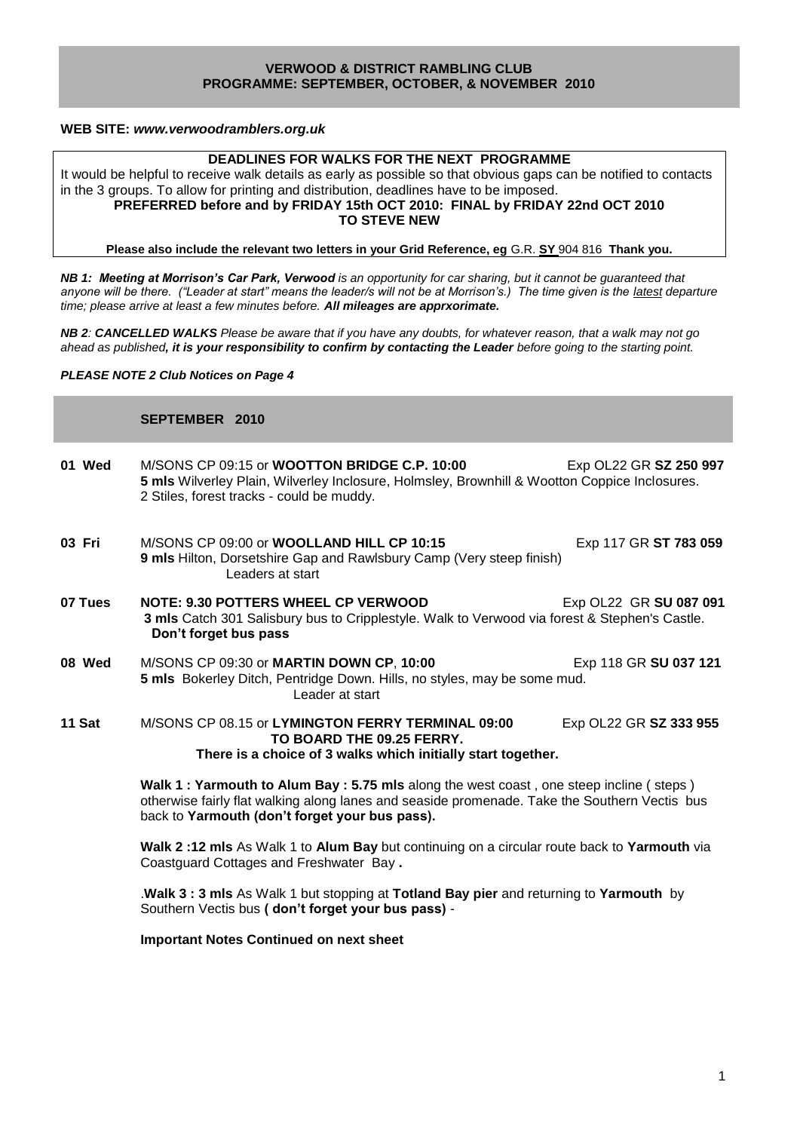### **VERWOOD & DISTRICT RAMBLING CLUB PROGRAMME: SEPTEMBER, OCTOBER, & NOVEMBER 2010**

### **WEB SITE:** *[www.verwoodramblers.org.uk](http://www.verwoodramblers.org.uk/)*

## **DEADLINES FOR WALKS FOR THE NEXT PROGRAMME**

It would be helpful to receive walk details as early as possible so that obvious gaps can be notified to contacts in the 3 groups. To allow for printing and distribution, deadlines have to be imposed. **PREFERRED before and by FRIDAY 15th OCT 2010: FINAL by FRIDAY 22nd OCT 2010 TO STEVE NEW**

**Please also include the relevant two letters in your Grid Reference, eg** G.R. **SY** 904 816 **Thank you.**

*NB 1: Meeting at Morrison's Car Park, Verwood is an opportunity for car sharing, but it cannot be guaranteed that*  anyone will be there. ("Leader at start" means the leader/s will not be at Morrison's.) The time given is the latest departure *time; please arrive at least a few minutes before. All mileages are apprxorimate.*

*NB 2: CANCELLED WALKS Please be aware that if you have any doubts, for whatever reason, that a walk may not go ahead as published, it is your responsibility to confirm by contacting the Leader before going to the starting point.*

*PLEASE NOTE 2 Club Notices on Page 4*

# **SEPTEMBER 2010**

**01 Wed** M/SONS CP 09:15 or **WOOTTON BRIDGE C.P. 10:00** Exp OL22 GR **SZ 250 997 5 mls** Wilverley Plain, Wilverley Inclosure, Holmsley, Brownhill & Wootton Coppice Inclosures. 2 Stiles, forest tracks - could be muddy. **03 Fri M/SONS CP 09:00 or WOOLLAND HILL CP 10:15** Exp 117 GR **ST 783 059 9 mls** Hilton, Dorsetshire Gap and Rawlsbury Camp (Very steep finish) Leaders at start **07 Tues NOTE: 9.30 POTTERS WHEEL CP VERWOOD EXP OL22 GR SU 087 091 3 mls** Catch 301 Salisbury bus to Cripplestyle. Walk to Verwood via forest & Stephen's Castle. **Don't forget bus pass 08 Wed** M/SONS CP 09:30 or **MARTIN DOWN CP**, **10:00** Exp 118 GR **SU 037 121 5 mls** Bokerley Ditch, Pentridge Down. Hills, no styles, may be some mud. Leader at start **11 Sat** M/SONS CP 08.15 or **LYMINGTON FERRY TERMINAL 09:00** Exp OL22 GR **SZ 333 955 TO BOARD THE 09.25 FERRY. There is a choice of 3 walks which initially start together. Walk 1 : Yarmouth to Alum Bay : 5.75 mls** along the west coast , one steep incline ( steps ) otherwise fairly flat walking along lanes and seaside promenade. Take the Southern Vectis bus back to **Yarmouth (don't forget your bus pass).**

> **Walk 2 :12 mls** As Walk 1 to **Alum Bay** but continuing on a circular route back to **Yarmouth** via Coastguard Cottages and Freshwater Bay **.**

.**Walk 3 : 3 mls** As Walk 1 but stopping at **Totland Bay pier** and returning to **Yarmouth** by Southern Vectis bus **( don't forget your bus pass)** -

**Important Notes Continued on next sheet**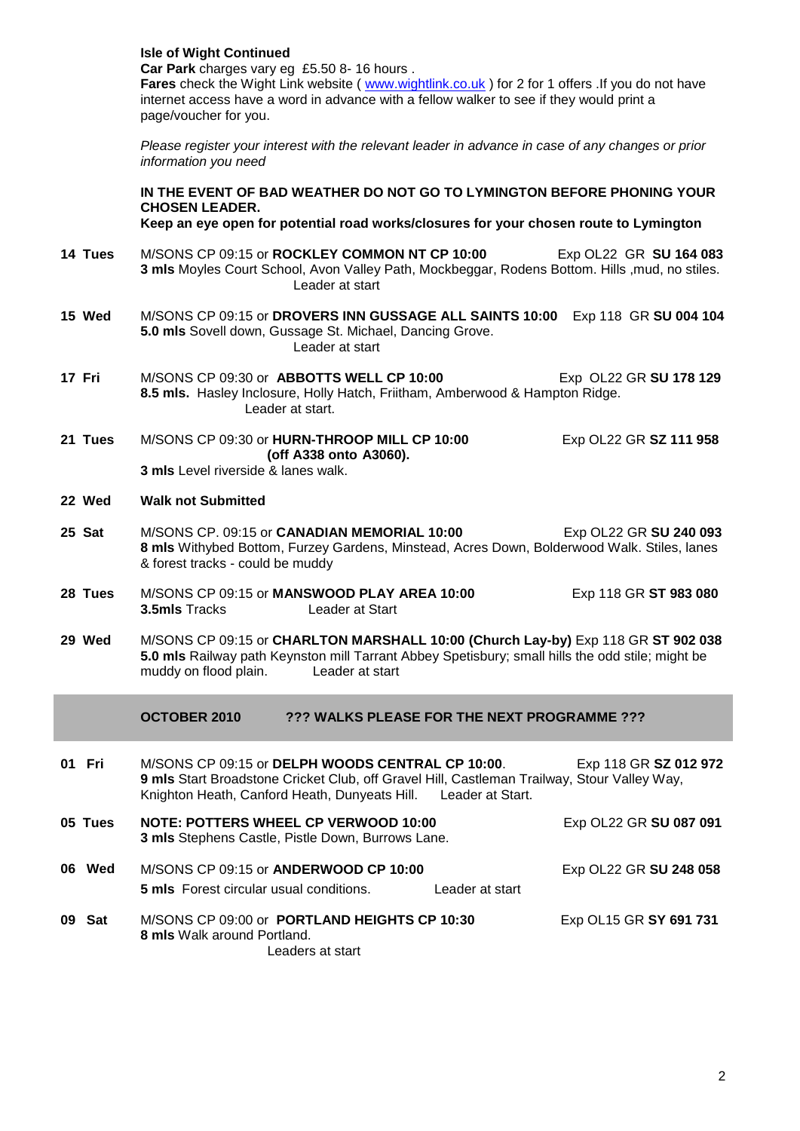|         | <b>Isle of Wight Continued</b><br>Car Park charges vary eg £5.50 8-16 hours.<br>Fares check the Wight Link website (www.wightlink.co.uk) for 2 for 1 offers . If you do not have<br>internet access have a word in advance with a fellow walker to see if they would print a<br>page/voucher for you. |  |  |  |
|---------|-------------------------------------------------------------------------------------------------------------------------------------------------------------------------------------------------------------------------------------------------------------------------------------------------------|--|--|--|
|         | Please register your interest with the relevant leader in advance in case of any changes or prior<br>information you need                                                                                                                                                                             |  |  |  |
|         | IN THE EVENT OF BAD WEATHER DO NOT GO TO LYMINGTON BEFORE PHONING YOUR<br><b>CHOSEN LEADER.</b><br>Keep an eye open for potential road works/closures for your chosen route to Lymington                                                                                                              |  |  |  |
| 14 Tues | M/SONS CP 09:15 or ROCKLEY COMMON NT CP 10:00<br>Exp OL22 GR SU 164 083<br>3 mls Moyles Court School, Avon Valley Path, Mockbeggar, Rodens Bottom. Hills , mud, no stiles.<br>Leader at start                                                                                                         |  |  |  |
| 15 Wed  | M/SONS CP 09:15 or DROVERS INN GUSSAGE ALL SAINTS 10:00 Exp 118 GR SU 004 104<br>5.0 mls Sovell down, Gussage St. Michael, Dancing Grove.<br>Leader at start                                                                                                                                          |  |  |  |
| 17 Fri  | M/SONS CP 09:30 or ABBOTTS WELL CP 10:00<br>Exp OL22 GR SU 178 129<br>8.5 mls. Hasley Inclosure, Holly Hatch, Friitham, Amberwood & Hampton Ridge.<br>Leader at start.                                                                                                                                |  |  |  |
| 21 Tues | M/SONS CP 09:30 or HURN-THROOP MILL CP 10:00<br>Exp OL22 GR SZ 111 958<br>(off A338 onto A3060).<br><b>3 mls</b> Level riverside & lanes walk.                                                                                                                                                        |  |  |  |
| 22 Wed  | <b>Walk not Submitted</b>                                                                                                                                                                                                                                                                             |  |  |  |
| 25 Sat  | M/SONS CP. 09:15 or <b>CANADIAN MEMORIAL 10:00</b><br>Exp OL22 GR SU 240 093<br>8 mls Withybed Bottom, Furzey Gardens, Minstead, Acres Down, Bolderwood Walk. Stiles, lanes<br>& forest tracks - could be muddy                                                                                       |  |  |  |
| 28 Tues | M/SONS CP 09:15 or MANSWOOD PLAY AREA 10:00<br>Exp 118 GR ST 983 080<br>3.5mls Tracks<br>Leader at Start                                                                                                                                                                                              |  |  |  |
| 29 Wed  | M/SONS CP 09:15 or CHARLTON MARSHALL 10:00 (Church Lay-by) Exp 118 GR ST 902 038<br>5.0 mls Railway path Keynston mill Tarrant Abbey Spetisbury; small hills the odd stile; might be<br>muddy on flood plain.<br>Leader at start                                                                      |  |  |  |
|         | OCTOBER 2010<br>??? WALKS PLEASE FOR THE NEXT PROGRAMME ???                                                                                                                                                                                                                                           |  |  |  |
| 01 Fri  | M/SONS CP 09:15 or DELPH WOODS CENTRAL CP 10:00.<br>Exp 118 GR SZ 012 972<br>9 mls Start Broadstone Cricket Club, off Gravel Hill, Castleman Trailway, Stour Valley Way,<br>Knighton Heath, Canford Heath, Dunyeats Hill. Leader at Start.                                                            |  |  |  |
| 05 Tues | <b>NOTE: POTTERS WHEEL CP VERWOOD 10:00</b><br>Exp OL22 GR SU 087 091<br>3 mls Stephens Castle, Pistle Down, Burrows Lane.                                                                                                                                                                            |  |  |  |
| 06 Wed  | M/SONS CP 09:15 or ANDERWOOD CP 10:00<br>Exp OL22 GR SU 248 058<br>5 mls Forest circular usual conditions.<br>Leader at start                                                                                                                                                                         |  |  |  |
| 09 Sat  | M/SONS CP 09:00 or PORTLAND HEIGHTS CP 10:30<br>Exp OL15 GR SY 691 731<br>8 mls Walk around Portland.<br>Leaders at start                                                                                                                                                                             |  |  |  |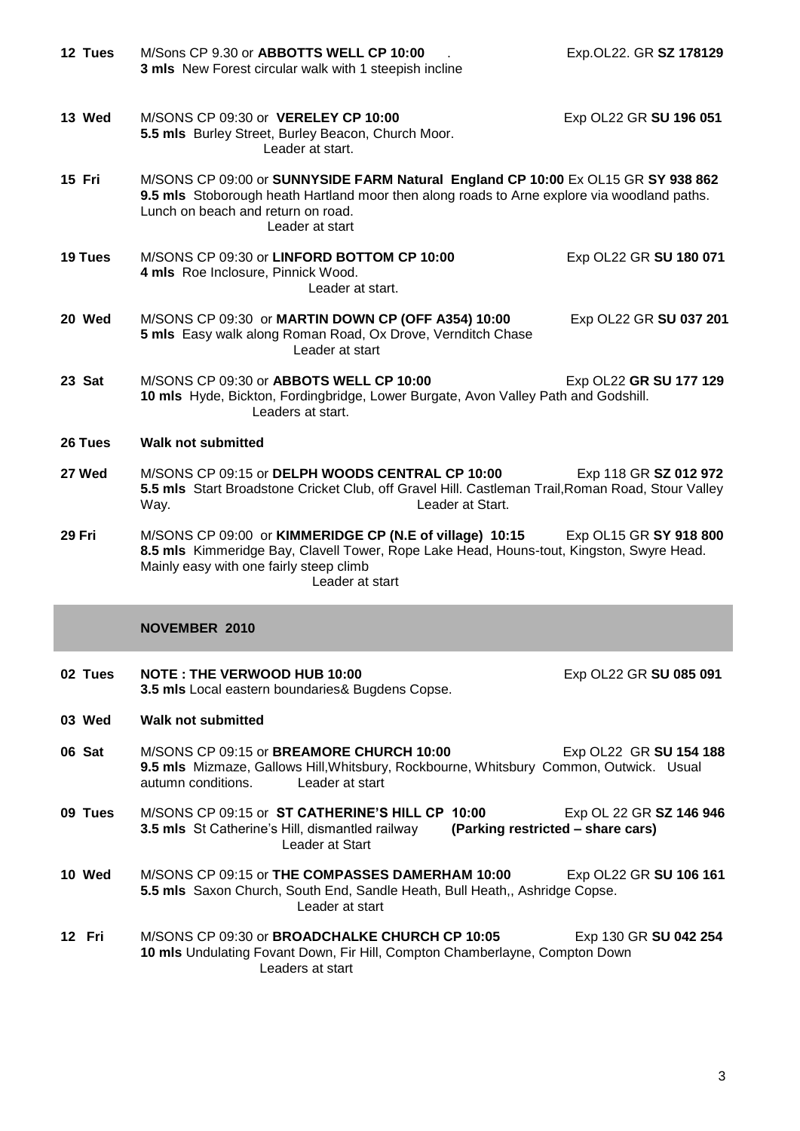| 12 Tues | M/Sons CP 9.30 or ABBOTTS WELL CP 10:00<br>3 mls New Forest circular walk with 1 steepish incline                                                                                                                                        | Exp.OL22. GR SZ 178129  |  |  |
|---------|------------------------------------------------------------------------------------------------------------------------------------------------------------------------------------------------------------------------------------------|-------------------------|--|--|
| 13 Wed  | M/SONS CP 09:30 or VERELEY CP 10:00<br>5.5 mls Burley Street, Burley Beacon, Church Moor.<br>Leader at start.                                                                                                                            | Exp OL22 GR SU 196 051  |  |  |
| 15 Fri  | M/SONS CP 09:00 or SUNNYSIDE FARM Natural England CP 10:00 Ex OL15 GR SY 938 862<br>9.5 mls Stoborough heath Hartland moor then along roads to Arne explore via woodland paths.<br>Lunch on beach and return on road.<br>Leader at start |                         |  |  |
| 19 Tues | M/SONS CP 09:30 or LINFORD BOTTOM CP 10:00<br>4 mls Roe Inclosure, Pinnick Wood.<br>Leader at start.                                                                                                                                     | Exp OL22 GR SU 180 071  |  |  |
| 20 Wed  | M/SONS CP 09:30 or MARTIN DOWN CP (OFF A354) 10:00<br>5 mls Easy walk along Roman Road, Ox Drove, Vernditch Chase<br>Leader at start                                                                                                     | Exp OL22 GR SU 037 201  |  |  |
| 23 Sat  | M/SONS CP 09:30 or ABBOTS WELL CP 10:00<br>Exp OL22 GR SU 177 129<br>10 mls Hyde, Bickton, Fordingbridge, Lower Burgate, Avon Valley Path and Godshill.<br>Leaders at start.                                                             |                         |  |  |
| 26 Tues | <b>Walk not submitted</b>                                                                                                                                                                                                                |                         |  |  |
| 27 Wed  | M/SONS CP 09:15 or DELPH WOODS CENTRAL CP 10:00<br>5.5 mls Start Broadstone Cricket Club, off Gravel Hill. Castleman Trail, Roman Road, Stour Valley<br>Leader at Start.<br>Way.                                                         | Exp 118 GR SZ 012 972   |  |  |
| 29 Fri  | M/SONS CP 09:00 or KIMMERIDGE CP (N.E of village) 10:15<br>8.5 mls Kimmeridge Bay, Clavell Tower, Rope Lake Head, Houns-tout, Kingston, Swyre Head.<br>Mainly easy with one fairly steep climb<br>Leader at start                        | Exp OL15 GR SY 918 800  |  |  |
|         | <b>NOVEMBER 2010</b>                                                                                                                                                                                                                     |                         |  |  |
| 02 Tues | <b>NOTE: THE VERWOOD HUB 10:00</b><br>3.5 mls Local eastern boundaries& Bugdens Copse.                                                                                                                                                   | Exp OL22 GR SU 085 091  |  |  |
| 03 Wed  | <b>Walk not submitted</b>                                                                                                                                                                                                                |                         |  |  |
| 06 Sat  | M/SONS CP 09:15 or BREAMORE CHURCH 10:00<br>9.5 mls Mizmaze, Gallows Hill, Whitsbury, Rockbourne, Whitsbury Common, Outwick. Usual<br>autumn conditions.<br>Leader at start                                                              | Exp OL22 GR SU 154 188  |  |  |
| 09 Tues | M/SONS CP 09:15 or ST CATHERINE'S HILL CP 10:00<br>(Parking restricted - share cars)<br><b>3.5 mls</b> St Catherine's Hill, dismantled railway<br>Leader at Start                                                                        | Exp OL 22 GR SZ 146 946 |  |  |
| 10 Wed  | M/SONS CP 09:15 or THE COMPASSES DAMERHAM 10:00<br>5.5 mls Saxon Church, South End, Sandle Heath, Bull Heath,, Ashridge Copse.<br>Leader at start                                                                                        | Exp OL22 GR SU 106 161  |  |  |
| 12 Fri  | M/SONS CP 09:30 or BROADCHALKE CHURCH CP 10:05                                                                                                                                                                                           | Exp 130 GR SU 042 254   |  |  |